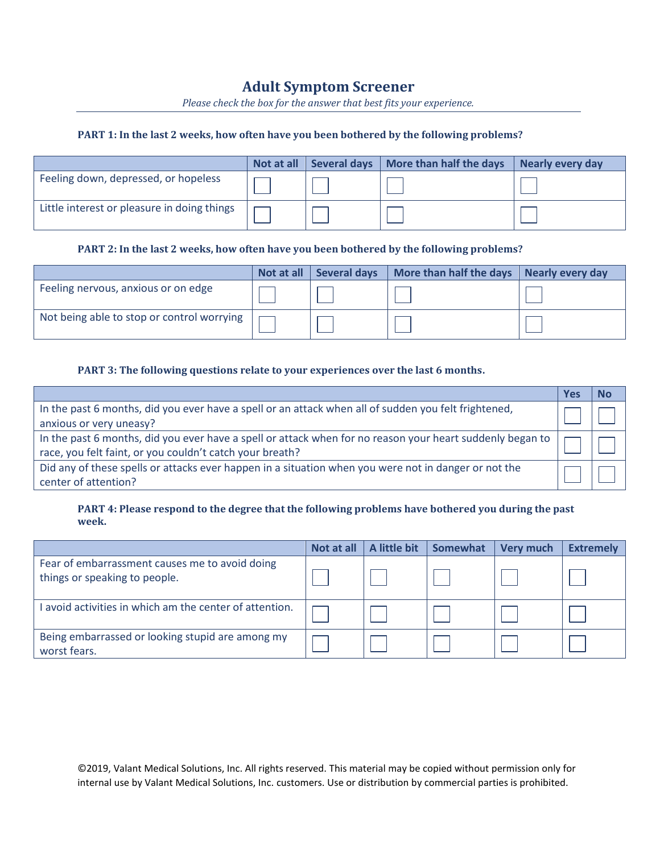# **Adult Symptom Screener**

*Please check the box for the answer that best fits your experience.*

#### **PART 1: In the last 2 weeks, how often have you been bothered by the following problems?**

|                                             | Not at all | <b>Several days</b> | More than half the days | Nearly every day |
|---------------------------------------------|------------|---------------------|-------------------------|------------------|
| Feeling down, depressed, or hopeless        |            |                     |                         |                  |
| Little interest or pleasure in doing things |            |                     |                         |                  |

## **PART 2: In the last 2 weeks, how often have you been bothered by the following problems?**

|                                            | Not at all | <b>Several days</b> | More than half the days   Nearly every day |  |
|--------------------------------------------|------------|---------------------|--------------------------------------------|--|
| Feeling nervous, anxious or on edge        |            |                     |                                            |  |
| Not being able to stop or control worrying |            |                     |                                            |  |

#### **PART 3: The following questions relate to your experiences over the last 6 months.**

|                                                                                                           | Y es | Nο |
|-----------------------------------------------------------------------------------------------------------|------|----|
| In the past 6 months, did you ever have a spell or an attack when all of sudden you felt frightened,      |      |    |
| anxious or very uneasy?                                                                                   |      |    |
| In the past 6 months, did you ever have a spell or attack when for no reason your heart suddenly began to |      |    |
| race, you felt faint, or you couldn't catch your breath?                                                  |      |    |
| Did any of these spells or attacks ever happen in a situation when you were not in danger or not the      |      |    |
| center of attention?                                                                                      |      |    |

## **PART 4: Please respond to the degree that the following problems have bothered you during the past week.**

|                                                                                 | Not at all | A little bit | Somewhat | <b>Very much</b> | <b>Extremely</b> |
|---------------------------------------------------------------------------------|------------|--------------|----------|------------------|------------------|
| Fear of embarrassment causes me to avoid doing<br>things or speaking to people. |            |              |          |                  |                  |
| I avoid activities in which am the center of attention.                         |            |              |          |                  |                  |
| Being embarrassed or looking stupid are among my<br>worst fears.                |            |              |          |                  |                  |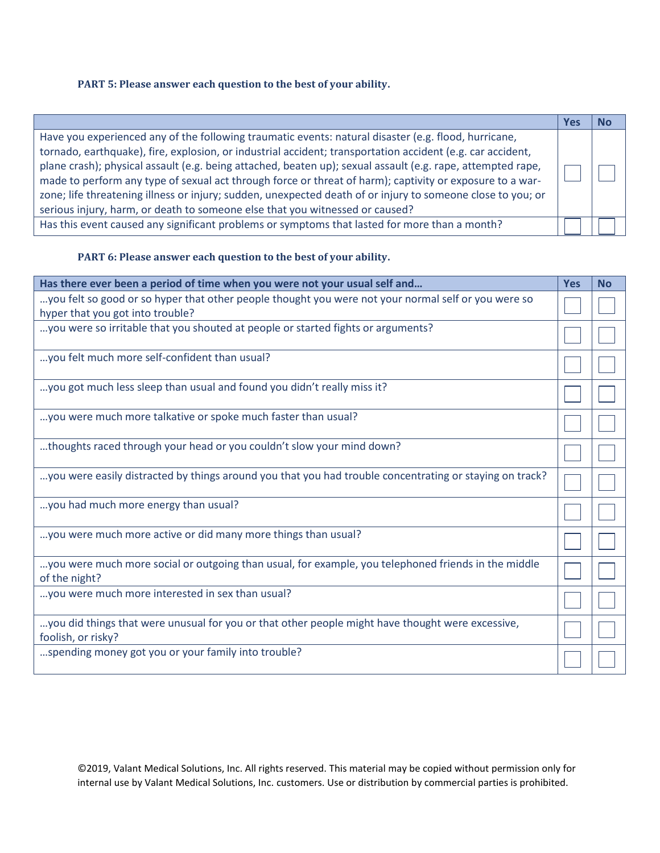# **PART 5: Please answer each question to the best of your ability.**

|                                                                                                                                                                                                                                                                                                                                                                                                                                                                                                                                                                                                                                              | res |  |
|----------------------------------------------------------------------------------------------------------------------------------------------------------------------------------------------------------------------------------------------------------------------------------------------------------------------------------------------------------------------------------------------------------------------------------------------------------------------------------------------------------------------------------------------------------------------------------------------------------------------------------------------|-----|--|
| Have you experienced any of the following traumatic events: natural disaster (e.g. flood, hurricane,<br>tornado, earthquake), fire, explosion, or industrial accident; transportation accident (e.g. car accident,<br>plane crash); physical assault (e.g. being attached, beaten up); sexual assault (e.g. rape, attempted rape,<br>made to perform any type of sexual act through force or threat of harm); captivity or exposure to a war-<br>zone; life threatening illness or injury; sudden, unexpected death of or injury to someone close to you; or<br>serious injury, harm, or death to someone else that you witnessed or caused? |     |  |
| Has this event caused any significant problems or symptoms that lasted for more than a month?                                                                                                                                                                                                                                                                                                                                                                                                                                                                                                                                                |     |  |

#### **PART 6: Please answer each question to the best of your ability.**

| Has there ever been a period of time when you were not your usual self and                                                              | <b>Yes</b> | <b>No</b> |
|-----------------------------------------------------------------------------------------------------------------------------------------|------------|-----------|
| you felt so good or so hyper that other people thought you were not your normal self or you were so<br>hyper that you got into trouble? |            |           |
| you were so irritable that you shouted at people or started fights or arguments?                                                        |            |           |
| you felt much more self-confident than usual?                                                                                           |            |           |
| you got much less sleep than usual and found you didn't really miss it?                                                                 |            |           |
| you were much more talkative or spoke much faster than usual?                                                                           |            |           |
| thoughts raced through your head or you couldn't slow your mind down?                                                                   |            |           |
| you were easily distracted by things around you that you had trouble concentrating or staying on track?                                 |            |           |
| you had much more energy than usual?                                                                                                    |            |           |
| you were much more active or did many more things than usual?                                                                           |            |           |
| you were much more social or outgoing than usual, for example, you telephoned friends in the middle<br>of the night?                    |            |           |
| you were much more interested in sex than usual?                                                                                        |            |           |
| you did things that were unusual for you or that other people might have thought were excessive,<br>foolish, or risky?                  |            |           |
| spending money got you or your family into trouble?                                                                                     |            |           |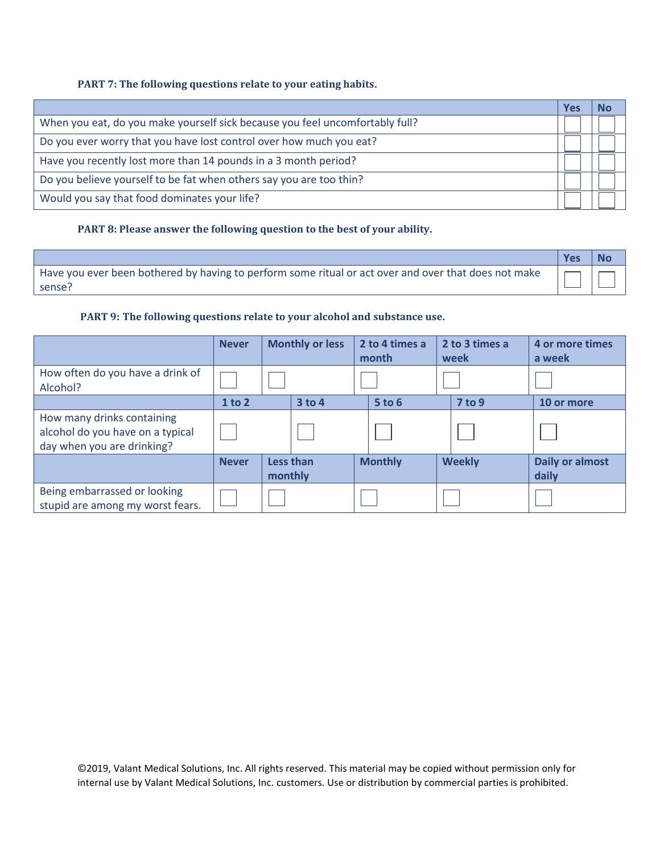## **PART 7: The following questions relate to your eating habits.**

|                                                                              | Yes |  |
|------------------------------------------------------------------------------|-----|--|
| When you eat, do you make yourself sick because you feel uncomfortably full? |     |  |
| Do you ever worry that you have lost control over how much you eat?          |     |  |
| Have you recently lost more than 14 pounds in a 3 month period?              |     |  |
| Do you believe yourself to be fat when others say you are too thin?          |     |  |
| Would you say that food dominates your life?                                 |     |  |

# **PART 8: Please answer the following question to the best of your ability.**

**Yes No** Have you ever been bothered by having to perform some ritual or act over and over that does not make sense?

# **PART 9: The following questions relate to your alcohol and substance use.**

|                                                                                              | <b>Never</b> |         | <b>Monthly or less</b> | 2 to 4 times a<br>month | 2 to 3 times a<br>week | 4 or more times<br>a week       |
|----------------------------------------------------------------------------------------------|--------------|---------|------------------------|-------------------------|------------------------|---------------------------------|
| How often do you have a drink of<br>Alcohol?                                                 |              |         |                        |                         |                        |                                 |
|                                                                                              | 1 to 2       |         | $3$ to 4               | 5 to 6                  | 7 to 9                 | 10 or more                      |
| How many drinks containing<br>alcohol do you have on a typical<br>day when you are drinking? |              |         |                        |                         |                        |                                 |
|                                                                                              | <b>Never</b> | monthly | Less than              | <b>Monthly</b>          | <b>Weekly</b>          | <b>Daily or almost</b><br>daily |
| Being embarrassed or looking<br>stupid are among my worst fears.                             |              |         |                        |                         |                        |                                 |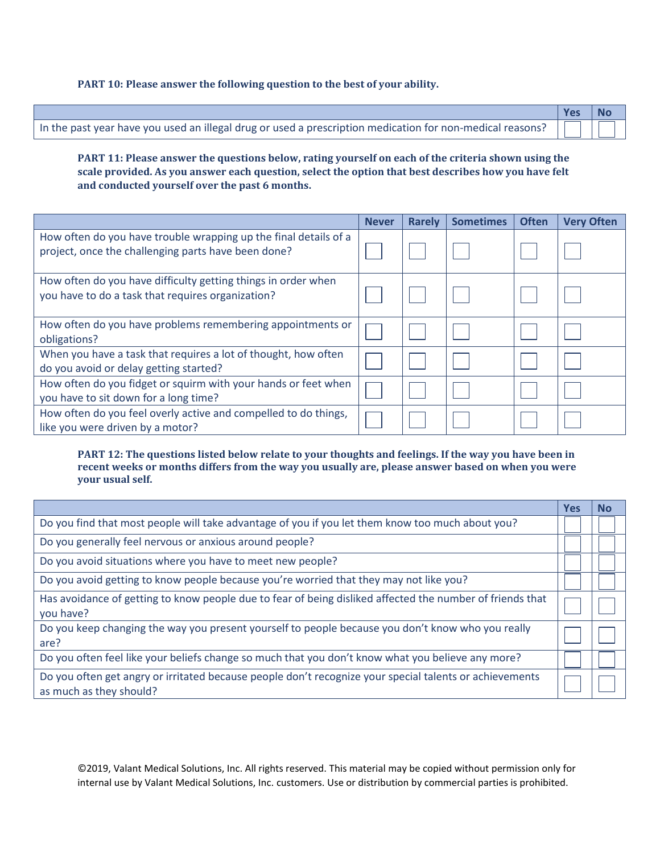#### **PART 10: Please answer the following question to the best of your ability.**

|                                                                                                                  | Yes | No |
|------------------------------------------------------------------------------------------------------------------|-----|----|
| In the past year have you used an illegal drug or used a prescription medication for non-medical reasons? $\Box$ |     |    |

**PART 11: Please answer the questions below, rating yourself on each of the criteria shown using the scale provided. As you answer each question, select the option that best describes how you have felt and conducted yourself over the past 6 months.**

|                                                                                                                         | <b>Never</b> | <b>Rarely</b> | <b>Sometimes</b> | <b>Often</b> | <b>Very Often</b> |
|-------------------------------------------------------------------------------------------------------------------------|--------------|---------------|------------------|--------------|-------------------|
| How often do you have trouble wrapping up the final details of a<br>project, once the challenging parts have been done? |              |               |                  |              |                   |
| How often do you have difficulty getting things in order when<br>you have to do a task that requires organization?      |              |               |                  |              |                   |
| How often do you have problems remembering appointments or<br>obligations?                                              |              |               |                  |              |                   |
| When you have a task that requires a lot of thought, how often<br>do you avoid or delay getting started?                |              |               |                  |              |                   |
| How often do you fidget or squirm with your hands or feet when<br>you have to sit down for a long time?                 |              |               |                  |              |                   |
| How often do you feel overly active and compelled to do things,<br>like you were driven by a motor?                     |              |               |                  |              |                   |

#### **PART 12: The questions listed below relate to your thoughts and feelings. If the way you have been in recent weeks or months differs from the way you usually are, please answer based on when you were your usual self.**

|                                                                                                                                    | <b>Yes</b> | <b>No</b> |
|------------------------------------------------------------------------------------------------------------------------------------|------------|-----------|
| Do you find that most people will take advantage of you if you let them know too much about you?                                   |            |           |
| Do you generally feel nervous or anxious around people?                                                                            |            |           |
| Do you avoid situations where you have to meet new people?                                                                         |            |           |
| Do you avoid getting to know people because you're worried that they may not like you?                                             |            |           |
| Has avoidance of getting to know people due to fear of being disliked affected the number of friends that<br>you have?             |            |           |
| Do you keep changing the way you present yourself to people because you don't know who you really<br>are?                          |            |           |
| Do you often feel like your beliefs change so much that you don't know what you believe any more?                                  |            |           |
| Do you often get angry or irritated because people don't recognize your special talents or achievements<br>as much as they should? |            |           |